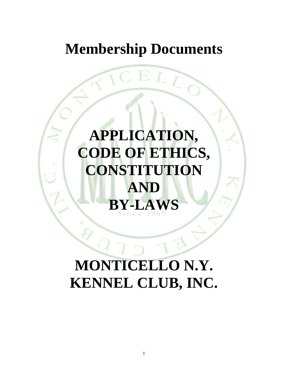## **Membership Documents**

# **APPLICATION, CODE OF ETHICS, CONSTITUTION AND BY-LAWS**

# **MONTICELLO N.Y. KENNEL CLUB, INC.**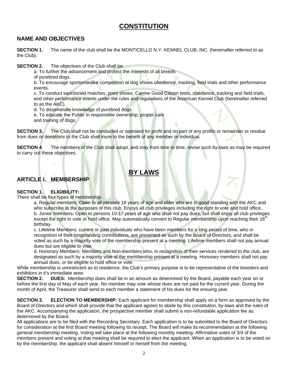### **CONSTITUTION**

#### **NAME AND OBJECTIVES**

**SECTION 1.** The name of the club shall be the MONTICELLO N.Y. KENNEL CLUB, INC. (hereinafter referred to as the Club).

**SECTION 2.** The objectives of the Club shall be:

a. To further the advancement and protect the interests of all breeds

of purebred dogs.

b. To encourage sportsmanlike competition at dog shows obedience, tracking, field trials and other performance events.

c. To conduct sanctioned matches, point shows, Canine Good Citizen tests, obedience, tracking and field trials, and other performance events under the rules and regulations of the American Kennel Club (hereinafter referred to as the AKC).

d. To disseminate knowledge of purebred dogs.

e. To educate the Public in responsible ownership, proper care

and training of dogs.

**SECTION 3.** The Club shall not be conducted or operated for profit and no part of any profits or remainder or residue from dues or donations to the Club shall inure to the benefit of any member or individual.

**SECTION 4**. The members of the Club shall adopt, and may from time to time, revise such by-laws as may be required to carry out these objectives.

### **BY LAWS**

#### **ARTICLE I. MEMBERSHIP**

#### **SECTION 1. ELIGIBILITY:**

There shall be four types of membership.

a. Regular members: Open to all persons 18 years of age and older who are in good standing with the AKC and who subscribe to the purposes of this club. Enjoys all club privileges including the right to vote and hold office.. b. Junior members: Open to persons 10-17 years of age who shall not pay dues, but shall enjoy all club privileges except the right to vote or hold office. May automatically convert to Regular membership upon reaching their  $18<sup>th</sup>$ birthday.

c. Lifetime Members: current or past individuals who have been members for a long period of time, who in recognition of their longstanding contributions, are presented as such by the Board of Directors, and shall be voted as such by a majority vote of the membership present at a meeting. Lifetime members shall not pay annual dues but are eligible to vote.

d. Honorary Members: Members and Non-members who, in recognition of their services rendered to the club, are designated as such by a majority vote of the membership present at a meeting. Honorary members shall not pay annual dues, or be eligible to hold office or vote.

While membership is unrestricted as to residence, the Club's primary purpose is to be representative of the breeders and exhibitors in it's immediate area.

**SECTION 2. DUES:** Membership dues shall be in an amount as determined by the Board, payable each year on or before the first day of May of each year. No member may vote whose dues are not paid for the current year. During the month of April, the Treasurer shall send to each member a statement of his dues for the ensuing year.

**SECTION 3. ELECTION TO MEMBERSHIP:** Each applicant for membership shall apply on a form as approved by the Board of Directors and which shall provide that the applicant agrees to abide by this constitution, by-laws and the rules of the AKC. Accompanying the application, the prospective member shall submit a non-refundable application fee as determined by the Board.

All applications are to be filed with the Recording Secretary. Each application is to be submitted to the Board of Directors for consideration at the first Board meeting following its receipt. The Board will make its recommendation at the following general membership meeting. Voting will take place at the following monthly meeting. Affirmative votes of 3/4 of the members present and voting at that meeting shall be required to elect the applicant. When an application is to be voted on by the membership, the applicant shall absent himself or herself from the meeting.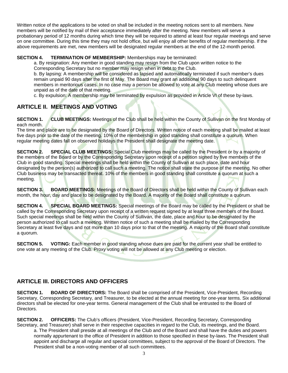Written notice of the applications to be voted on shall be included in the meeting notices sent to all members. New members will be notified by mail of their acceptance immediately after the meeting. New members will serve a probationary period of 12 months during which time they will be required to attend at least four regular meetings and serve on one committee. During this time they may not hold office, but will enjoy all other benefits of regular membership. If the above requirements are met, new members will be designated regular members at the end of the 12-month period.

#### **SECTION 4. TERMINATION OF MEMBERSHIP:** Memberships may be terminated:

a. By resignation: Any member in good standing may resign from the Club upon written notice to the Corresponding Secretary but no member may resign when in debt to the Club.

b. By lapsing: A membership will be considered as lapsed and automatically terminated if such member's dues remain unpaid 90 days after the first of May. The Board may grant an additional 90 days to such delinquent members in meritorious cases. In no case may a person be allowed to vote at any Club meeting whose dues are unpaid as of the date of that meeting.

c. By expulsion: A membership may be terminated by expulsion as provided in Article VI of these by-laws.

#### **ARTICLE II. MEETINGS AND VOTING**

**SECTION 1. CLUB MEETINGS:** Meetings of the Club shall be held within the County of Sullivan on the first Monday of each month.

The time and place are to be designated by the Board of Directors. Written notice of each meeting shall be mailed at least five days prior to the date of the meeting. 10% of the membership in good standing shall constitute a quorum. When regular meeting dates fall on observed holidays the President shall designate the meeting date.

**SECTION 2. SPECIAL CLUB MEETINGS:** Special Club meetings may be called by the President or by a majority of the members of the Board or by the Corresponding Secretary upon receipt of a petition signed by five members of the Club in good standing. Special meetings shall be held within the County of Sullivan at such place, date and hour designated by the person(s) authorized to call such a meeting. The notice shall state the purpose of the meeting. No other Club business may be transacted thereat. 10% of the members in good standing shall constitute a quorum at such a meeting.

**SECTION 3. BOARD MEETINGS:** Meetings of the Board of Directors shall be held within the County of Sullivan each month, the hour, day and place to be designated by the Board. A majority of the Board shall constitute a quorum.

**SECTION 4. SPECIAL BOARD MEETINGS:** Special meetings of the Board may be called by the President or shall be called by the Corresponding Secretary upon receipt of a written request signed by at least three members of the Board. Such special meetings shall be held within the County of Sullivan, the date, place and hour to be designated by the person authorized to call such a meeting. Written notice of such a meeting shall be mailed by the Corresponding Secretary at least five days and not more than 10 days prior to that of the meeting. A majority of the Board shall constitute a quorum.

**SECTION 5. VOTING:** Each member in good standing whose dues are paid for the current year shall be entitled to one vote at any meeting of the Club. Proxy voting will not be allowed at any Club meeting or election.

#### **ARTICLE III. DIRECTORS AND OFFICERS**

**SECTION 1. BOARD OF DIRECTORS:** The Board shall be comprised of the President, Vice-President, Recording Secretary, Corresponding Secretary, and Treasurer, to be elected at the annual meeting for one-year terms. Six additional directors shall be elected for one-year terms. General management of the Club shall be entrusted to the Board of Directors.

**SECTION 2. OFFICERS:** The Club's officers (President, Vice-President, Recording Secretary, Corresponding Secretary, and Treasurer) shall serve in their respective capacities in regard to the Club, its meetings, and the Board.

a. The President shall preside at all meetings of the Club and of the Board and shall have the duties and powers normally appurtenant to the office of President in addition to those specified in these by-laws. The President shall appoint and discharge all regular and special committees, subject to the approval of the Board of Directors. The President shall be a non-voting member of all such committees.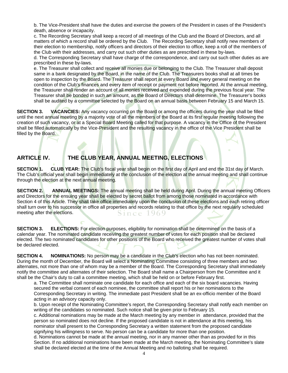b. The Vice-President shall have the duties and exercise the powers of the President in cases of the President's death, absence or incapacity.

c. The Recording Secretary shall keep a record of all meetings of the Club and the Board of Directors, and all matters of which a record shall be ordered by the Club. The Recording Secretary shall notify new members of their election to membership, notify officers and directors of their election to office, keep a roll of the members of the Club with their addresses, and carry out such other duties as are prescribed in these by-laws.

d. The Corresponding Secretary shall have charge of the correspondence, and carry out such other duties as are prescribed in these by-laws.

e. The Treasurer shall collect and receive all monies due or belonging to the Club. The Treasurer shall deposit same in a bank designated by the Board, in the name of the Club. The Treasurers books shall at all times be open to inspection by the Board. The Treasurer shall report at every Board and every general meeting on the condition of the Club's finances and every item of receipt or payment not before reported. At the annual meeting, the Treasurer shall render an account of all monies received and expended during the previous fiscal year. The Treasurer shall be bonded in such an amount, as the Board of Directors shall determine. The Treasurer's books shall be audited by a committee selected by the Board on an annual basis between February 15 and March 15.

**SECTION 3. VACANCIES:** Any vacancy occurring on the Board or among the officers during the year shall be filled until the next annual meeting by a majority vote of all the members of the Board at its first regular meeting following the creation of such vacancy, or at a Special Board Meeting called for that purpose. A vacancy in the Office of the President shall be filled automatically by the Vice-President and the resulting vacancy in the office of the Vice President shall be filled by the Board.

#### **ARTICLE IV. THE CLUB YEAR, ANNUAL MEETING, ELECTIONS**

**SECTION 1. CLUB YEAR:** The Club's fiscal year shall begin on the first day of April and end the 31st day of March. The Club's official year shall begin immediately at the conclusion of the election at the annual meeting and shall continue through the election at the next annual meeting.

**SECTION 2.** ANNUAL MEETINGS: The annual meeting shall be held during April. During the annual meeting Officers and Directors for the ensuing year shall be elected by secret ballot from among those nominated in accordance with Section 4 of this Article. They shall take office immediately upon the conclusion of these elections and each retiring officer shall turn over to his successor in office all properties and records relating to that office by the next regularly scheduled meeting after the elections. Since 1969

**SECTION 3. ELECTIONS:** For election purposes, eligibility for nomination shall be determined on the basis of a calendar year. The nominated candidate receiving the greatest number of votes for each position shall be declared elected. The two nominated candidates for other positions of the Board who received the greatest number of votes shall be declared elected.

**SECTION 4. NOMINATIONS:** No person may be a candidate in the Club's election who has not been nominated. During the month of December, the Board will select a Nominating Committee consisting of three members and two alternates, not more than one of whom may be a member of the Board. The Corresponding Secretary shall immediately notify the committee and alternates of their selection. The Board shall name a Chairperson from the Committee and it shall be the Chair's duty to call a committee meeting, which shall be held on or before February first.

a. The Committee shall nominate one candidate for each office and each of the six board vacancies. Having secured the verbal consent of each nominee, the committee shall report his or her nominations to the Corresponding Secretary in writing. The immediate past President shall be an ex-officio member of the Board acting in an advisory capacity only.

b. Upon receipt of the Nominating Committee's report, the Corresponding Secretary shall notify each member on writing of the candidates so nominated. Such notice shall be given prior to February 15.

c. Additional nominations may be made at the March meeting by any member in attendance, provided that the person so nominated does not decline. If the proposed candidate is not in attendance at this meeting, his nominator shall present to the Corresponding Secretary a written statement from the proposed candidate signifying his willingness to serve. No person can be a candidate for more than one position.

d. Nominations cannot be made at the annual meeting, nor in any manner other than as provided for in this Section. If no additional nominations have been made at the March meeting, the Nominating Committee's slate shall be declared elected at the time of the Annual Meeting and no balloting shall be required.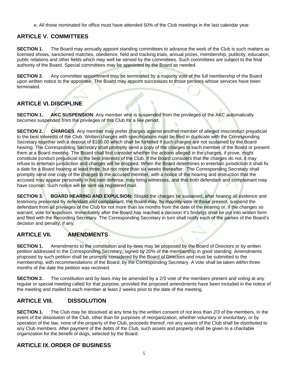e. All those nominated for office must have attended 50% of the Club meetings in the last calendar year.

#### **ARTICLE V. COMMITTEES**

**SECTION 1.** The Board may annually appoint standing committees to advance the work of the Club is such matters as licensed shows, sanctioned matches, obedience, field and tracking trials, annual prizes, membership, publicity, education, public relations and other fields which may well be served by the committees. Such committees are subject to the final authority of the Board. Special committees may be appointed by the Board as needed.

**SECTION 2.** Any committee appointment may be terminated by a majority vote of the full membership of the Board upon written notice to the appointee. The Board may appoint successors to those persons whose services have been terminated.

#### **ARTICLE VI. DISCIPLINE**

**SECTION 1. AKC SUSPENSION**: Any member who is suspended from the privileges of the AKC automatically becomes suspended from the privileges of this Club for a like period.

**SECTION 2. CHARGES**: Any member may prefer charges against another member of alleged misconduct prejudicial to the best interests of the Club. Written charges with specifications must be filed in duplicate with the Corresponding Secretary together with a deposit of \$100.00 which shall be forfeited if such charges are not sustained by the Board hearing. The Corresponding Secretary shall promptly send a copy of the charges to each member of the Board or present them at a Board meeting. The Board shall first consider whether the actions alleged in the charges, if prove, might constitute conduct prejudicial to the best interests of the Club. If the Board considers that the charges do not, it may refuse to entertain jurisdiction and charges will be dropped. When the Board determines to entertain jurisdiction it shall fix a date for a Board hearing at least three, but not more than six weeks thereafter. The Corresponding Secretary shall promptly send one copy of the charges to the accused member, with a notice of the hearing and instruction that the accused may appear personally in his own defense, may bring witnesses, and that both defendant and complainant may have counsel. Such notice will be sent via registered mail.

**SECTION 3. BOARD HEARING AND EXPULSION:** Should the charges be sustained, after hearing all evidence and testimony presented by defendant and complainant, the Board may, by majority vote of those present, suspend the defendant from all privileges of the Club for not more than six months from the date of the hearing or, if the changes so warrant, vote for expulsion. Immediately after the Board has reached a decision it's findings shall be put into written form and filed with the Recording Secretary. The Corresponding Secretary in turn shall notify each of the parties of the Board's decision and penalty, if any.

#### **ARTICLE VII. AMENDMENTS**

**SECTION 1.** Amendments to the constitution and by-laws may be proposed by the Board of Directors or by written petition addressed to the Corresponding Secretary, signed by 20% of the membership in good standing. Amendments proposed by such petition shall be promptly considered by the Board of Directors and must be submitted to the membership, with recommendations of the Board, by the Corresponding Secretary. A vote shall be taken within three months of the date the petition was received.

**SECTION 2.** The constitution and by-laws may be amended by a 2/3 vote of the members present and voting at any regular or special meeting called for that purpose, provided the proposed amendments have been included in the notice of the meeting and mailed to each member at least 2 weeks prior to the date of the meeting.

#### **ARTICLE VIII. DISSOLUTION**

**SECTION 1.** The Club may be dissolved at any time by the written consent of not less than 2/3 of the members. In the event of the dissolution of the Club, other than for purposes of reorganization, whether voluntary or involuntary, or by operation of the law, none of the property of the Club, proceeds thereof, not any assets of the Club shall be distributed to any Club members. After payment of the debts of the Club, such assets and property shall be given to a charitable organization for the benefit of dogs, selected by the Board.

#### **ARTICLE IX. ORDER OF BUSINESS**